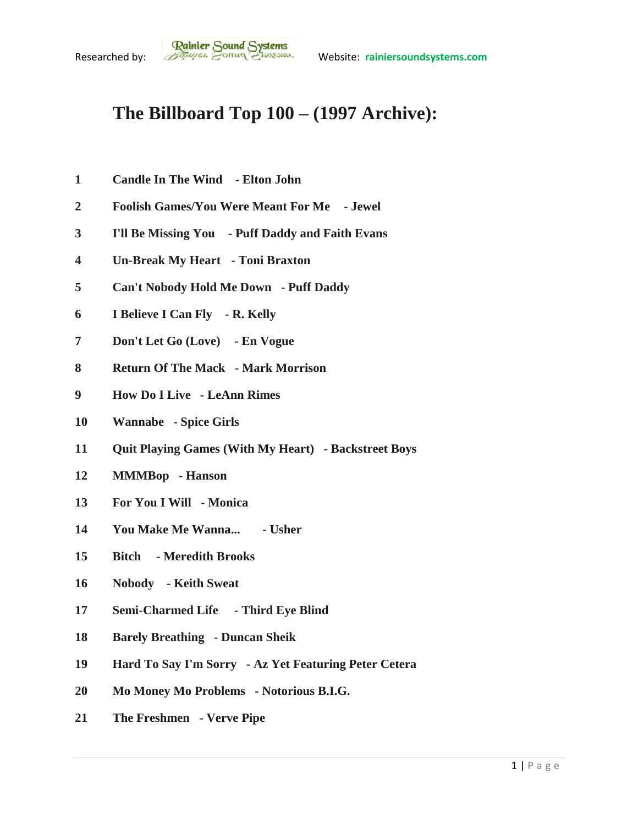## **The Billboard Top 100 – (1997 Archive):**

- **Candle In The Wind - Elton John**
- **Foolish Games/You Were Meant For Me - Jewel**
- **I'll Be Missing You - Puff Daddy and Faith Evans**
- **Un-Break My Heart - Toni Braxton**
- **Can't Nobody Hold Me Down - Puff Daddy**
- **I Believe I Can Fly - R. Kelly**
- **Don't Let Go (Love) - En Vogue**
- **Return Of The Mack - Mark Morrison**
- **How Do I Live - LeAnn Rimes**
- **Wannabe - Spice Girls**
- **Quit Playing Games (With My Heart) - Backstreet Boys**
- **MMMBop - Hanson**
- **For You I Will - Monica**
- **You Make Me Wanna... - Usher**
- **Bitch - Meredith Brooks**
- **Nobody - Keith Sweat**
- **Semi-Charmed Life - Third Eye Blind**
- **Barely Breathing - Duncan Sheik**
- **Hard To Say I'm Sorry - Az Yet Featuring Peter Cetera**
- **Mo Money Mo Problems - Notorious B.I.G.**
- **The Freshmen - Verve Pipe**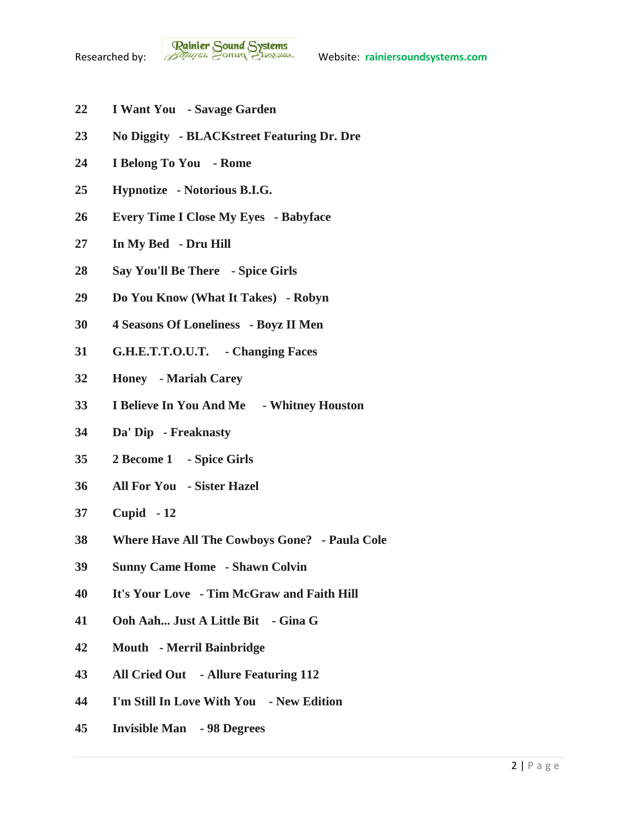- **I Want You - Savage Garden**
- **No Diggity - BLACKstreet Featuring Dr. Dre**
- **I Belong To You - Rome**
- **Hypnotize - Notorious B.I.G.**
- **Every Time I Close My Eyes - Babyface**
- **In My Bed - Dru Hill**
- **Say You'll Be There - Spice Girls**
- **Do You Know (What It Takes) - Robyn**
- **4 Seasons Of Loneliness - Boyz II Men**
- **G.H.E.T.T.O.U.T. - Changing Faces**
- **Honey - Mariah Carey**
- **I Believe In You And Me - Whitney Houston**
- **Da' Dip - Freaknasty**
- **2 Become 1 - Spice Girls**
- **All For You - Sister Hazel**
- **Cupid - 12**
- **Where Have All The Cowboys Gone? - Paula Cole**
- **Sunny Came Home - Shawn Colvin**
- **It's Your Love - Tim McGraw and Faith Hill**
- **Ooh Aah... Just A Little Bit - Gina G**
- **Mouth - Merril Bainbridge**
- **All Cried Out - Allure Featuring 112**
- **I'm Still In Love With You - New Edition**
- **Invisible Man - 98 Degrees**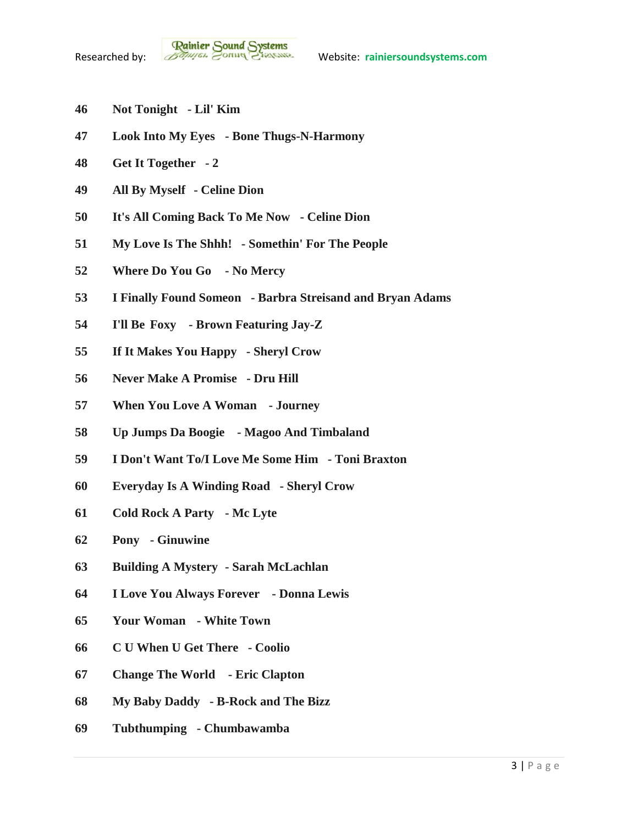- **Not Tonight - Lil' Kim**
- **Look Into My Eyes - Bone Thugs-N-Harmony**
- **Get It Together - 2**
- **All By Myself - Celine Dion**
- **It's All Coming Back To Me Now - Celine Dion**
- **My Love Is The Shhh! - Somethin' For The People**
- **Where Do You Go - No Mercy**
- **I Finally Found Someon - Barbra Streisand and Bryan Adams**
- **I'll Be Foxy - Brown Featuring Jay-Z**
- **If It Makes You Happy - Sheryl Crow**
- **Never Make A Promise - Dru Hill**
- **When You Love A Woman - Journey**
- **Up Jumps Da Boogie - Magoo And Timbaland**
- **I Don't Want To/I Love Me Some Him - Toni Braxton**
- **Everyday Is A Winding Road - Sheryl Crow**
- **Cold Rock A Party - Mc Lyte**
- **Pony - Ginuwine**
- **Building A Mystery - Sarah McLachlan**
- **I Love You Always Forever - Donna Lewis**
- **Your Woman - White Town**
- **C U When U Get There - Coolio**
- **Change The World - Eric Clapton**
- **My Baby Daddy - B-Rock and The Bizz**
- **Tubthumping - Chumbawamba**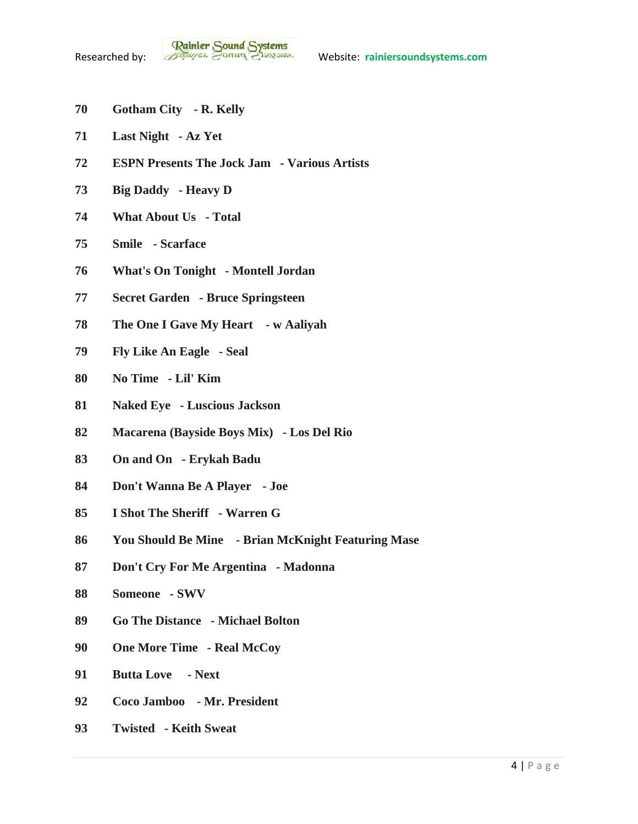- **Gotham City - R. Kelly**
- **Last Night - Az Yet**
- **ESPN Presents The Jock Jam - Various Artists**
- **Big Daddy - Heavy D**
- **What About Us - Total**
- **Smile - Scarface**
- **What's On Tonight - Montell Jordan**
- **Secret Garden - Bruce Springsteen**
- **The One I Gave My Heart - w Aaliyah**
- **Fly Like An Eagle - Seal**
- **No Time - Lil' Kim**
- **Naked Eye - Luscious Jackson**
- **Macarena (Bayside Boys Mix) - Los Del Rio**
- **On and On - Erykah Badu**
- **Don't Wanna Be A Player - Joe**
- **I Shot The Sheriff - Warren G**
- **You Should Be Mine - Brian McKnight Featuring Mase**
- **Don't Cry For Me Argentina - Madonna**
- **Someone - SWV**
- **Go The Distance - Michael Bolton**
- **One More Time - Real McCoy**
- **Butta Love - Next**
- **Coco Jamboo - Mr. President**
- **Twisted - Keith Sweat**